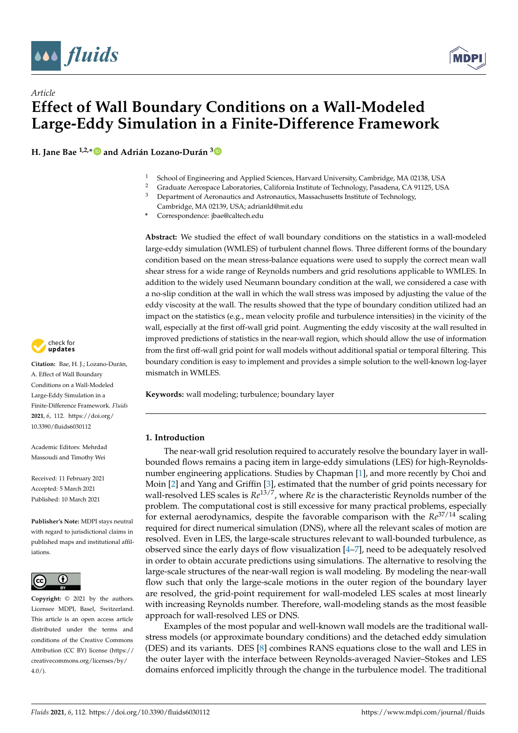

*Article*



# **Effect of Wall Boundary Conditions on a Wall-Modeled Large-Eddy Simulation in a Finite-Difference Framework**

**H. Jane Bae 1,2,**[∗](https://orcid.org/0000-0001-6789-6209) **and Adrián Lozano-Durán [3](https://orcid.org/0000-0001-9306-0261)**

- 1 School of Engineering and Applied Sciences, Harvard University, Cambridge, MA 02138, USA<br>2 Craduate Agreemea Laboratories, California Institute of Technology, Pasadoma, CA 91125, USA
- <sup>2</sup> Graduate Aerospace Laboratories, California Institute of Technology, Pasadena, CA 91125, USA<br><sup>3</sup> Department of Aeronautics and Astronautics Massachusetts Institute of Technology
- <sup>3</sup> Department of Aeronautics and Astronautics, Massachusetts Institute of Technology, Cambridge, MA 02139, USA; adrianld@mit.edu
- **\*** Correspondence: jbae@caltech.edu

**Abstract:** We studied the effect of wall boundary conditions on the statistics in a wall-modeled large-eddy simulation (WMLES) of turbulent channel flows. Three different forms of the boundary condition based on the mean stress-balance equations were used to supply the correct mean wall shear stress for a wide range of Reynolds numbers and grid resolutions applicable to WMLES. In addition to the widely used Neumann boundary condition at the wall, we considered a case with a no-slip condition at the wall in which the wall stress was imposed by adjusting the value of the eddy viscosity at the wall. The results showed that the type of boundary condition utilized had an impact on the statistics (e.g., mean velocity profile and turbulence intensities) in the vicinity of the wall, especially at the first off-wall grid point. Augmenting the eddy viscosity at the wall resulted in improved predictions of statistics in the near-wall region, which should allow the use of information from the first off-wall grid point for wall models without additional spatial or temporal filtering. This boundary condition is easy to implement and provides a simple solution to the well-known log-layer mismatch in WMLES.

**Keywords:** wall modeling; turbulence; boundary layer

## **1. Introduction**

The near-wall grid resolution required to accurately resolve the boundary layer in wallbounded flows remains a pacing item in large-eddy simulations (LES) for high-Reynoldsnumber engineering applications. Studies by Chapman [\[1\]](#page-10-0), and more recently by Choi and Moin [\[2\]](#page-10-1) and Yang and Griffin [\[3\]](#page-10-2), estimated that the number of grid points necessary for wall-resolved LES scales is *Re*13/7, where *Re* is the characteristic Reynolds number of the problem. The computational cost is still excessive for many practical problems, especially for external aerodynamics, despite the favorable comparison with the *Re*37/14 scaling required for direct numerical simulation (DNS), where all the relevant scales of motion are resolved. Even in LES, the large-scale structures relevant to wall-bounded turbulence, as observed since the early days of flow visualization  $[4–7]$  $[4–7]$ , need to be adequately resolved in order to obtain accurate predictions using simulations. The alternative to resolving the large-scale structures of the near-wall region is wall modeling. By modeling the near-wall flow such that only the large-scale motions in the outer region of the boundary layer are resolved, the grid-point requirement for wall-modeled LES scales at most linearly with increasing Reynolds number. Therefore, wall-modeling stands as the most feasible approach for wall-resolved LES or DNS.

Examples of the most popular and well-known wall models are the traditional wallstress models (or approximate boundary conditions) and the detached eddy simulation (DES) and its variants. DES [\[8\]](#page-10-5) combines RANS equations close to the wall and LES in the outer layer with the interface between Reynolds-averaged Navier–Stokes and LES domains enforced implicitly through the change in the turbulence model. The traditional



**Citation:** Bae, H. J.; Lozano-Durán, A. Effect of Wall Boundary Conditions on a Wall-Modeled Large-Eddy Simulation in a Finite-Difference Framework. *Fluids* **2021**, *6*, 112. [https://doi.org/](https://doi.org/10.3390/fluids6030112) [10.3390/fluids6030112](https://doi.org/10.3390/fluids6030112)

Academic Editors: Mehrdad Massoudi and Timothy Wei

Received: 11 February 2021 Accepted: 5 March 2021 Published: 10 March 2021

**Publisher's Note:** MDPI stays neutral with regard to jurisdictional claims in published maps and institutional affiliations.



**Copyright:** © 2021 by the authors. Licensee MDPI, Basel, Switzerland. This article is an open access article distributed under the terms and conditions of the Creative Commons Attribution (CC BY) license (https:/[/](https://creativecommons.org/licenses/by/4.0/) [creativecommons.org/licenses/by/](https://creativecommons.org/licenses/by/4.0/)  $4.0/$ ).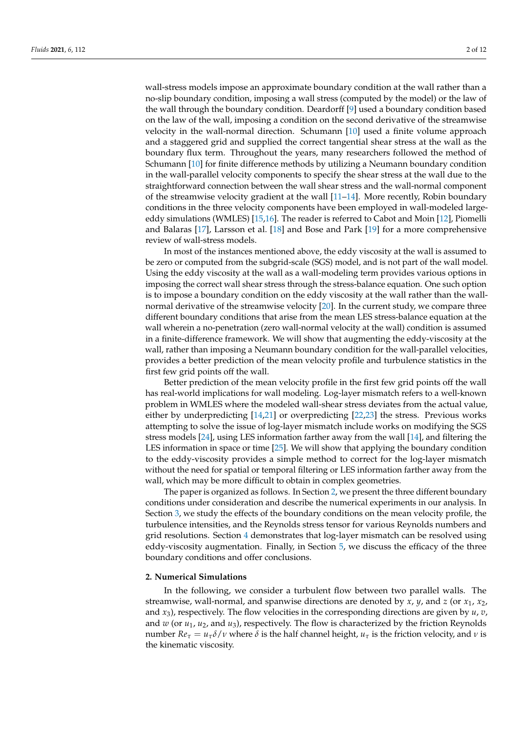wall-stress models impose an approximate boundary condition at the wall rather than a no-slip boundary condition, imposing a wall stress (computed by the model) or the law of the wall through the boundary condition. Deardorff [\[9\]](#page-10-6) used a boundary condition based on the law of the wall, imposing a condition on the second derivative of the streamwise velocity in the wall-normal direction. Schumann [\[10\]](#page-10-7) used a finite volume approach and a staggered grid and supplied the correct tangential shear stress at the wall as the boundary flux term. Throughout the years, many researchers followed the method of Schumann [\[10\]](#page-10-7) for finite difference methods by utilizing a Neumann boundary condition in the wall-parallel velocity components to specify the shear stress at the wall due to the straightforward connection between the wall shear stress and the wall-normal component of the streamwise velocity gradient at the wall  $[11–14]$  $[11–14]$ . More recently, Robin boundary conditions in the three velocity components have been employed in wall-modeled largeeddy simulations (WMLES) [\[15,](#page-10-10)[16\]](#page-10-11). The reader is referred to Cabot and Moin [\[12\]](#page-10-12), Piomelli and Balaras [\[17\]](#page-10-13), Larsson et al. [\[18\]](#page-10-14) and Bose and Park [\[19\]](#page-10-15) for a more comprehensive review of wall-stress models.

In most of the instances mentioned above, the eddy viscosity at the wall is assumed to be zero or computed from the subgrid-scale (SGS) model, and is not part of the wall model. Using the eddy viscosity at the wall as a wall-modeling term provides various options in imposing the correct wall shear stress through the stress-balance equation. One such option is to impose a boundary condition on the eddy viscosity at the wall rather than the wallnormal derivative of the streamwise velocity [\[20\]](#page-10-16). In the current study, we compare three different boundary conditions that arise from the mean LES stress-balance equation at the wall wherein a no-penetration (zero wall-normal velocity at the wall) condition is assumed in a finite-difference framework. We will show that augmenting the eddy-viscosity at the wall, rather than imposing a Neumann boundary condition for the wall-parallel velocities, provides a better prediction of the mean velocity profile and turbulence statistics in the first few grid points off the wall.

Better prediction of the mean velocity profile in the first few grid points off the wall has real-world implications for wall modeling. Log-layer mismatch refers to a well-known problem in WMLES where the modeled wall-shear stress deviates from the actual value, either by underpredicting [\[14](#page-10-9)[,21\]](#page-10-17) or overpredicting [\[22,](#page-10-18)[23\]](#page-10-19) the stress. Previous works attempting to solve the issue of log-layer mismatch include works on modifying the SGS stress models [\[24\]](#page-11-0), using LES information farther away from the wall [\[14\]](#page-10-9), and filtering the LES information in space or time [\[25\]](#page-11-1). We will show that applying the boundary condition to the eddy-viscosity provides a simple method to correct for the log-layer mismatch without the need for spatial or temporal filtering or LES information farther away from the wall, which may be more difficult to obtain in complex geometries.

The paper is organized as follows. In Section [2,](#page-1-0) we present the three different boundary conditions under consideration and describe the numerical experiments in our analysis. In Section [3,](#page-3-0) we study the effects of the boundary conditions on the mean velocity profile, the turbulence intensities, and the Reynolds stress tensor for various Reynolds numbers and grid resolutions. Section [4](#page-8-0) demonstrates that log-layer mismatch can be resolved using eddy-viscosity augmentation. Finally, in Section [5,](#page-9-0) we discuss the efficacy of the three boundary conditions and offer conclusions.

#### <span id="page-1-0"></span>**2. Numerical Simulations**

In the following, we consider a turbulent flow between two parallel walls. The streamwise, wall-normal, and spanwise directions are denoted by *x*, *y*, and *z* (or *x*1, *x*2, and  $x_3$ ), respectively. The flow velocities in the corresponding directions are given by  $u$ ,  $v$ , and *w* (or *u*1, *u*2, and *u*3), respectively. The flow is characterized by the friction Reynolds number  $Re_\tau = u_\tau \delta/v$  where *δ* is the half channel height,  $u_\tau$  is the friction velocity, and *ν* is the kinematic viscosity.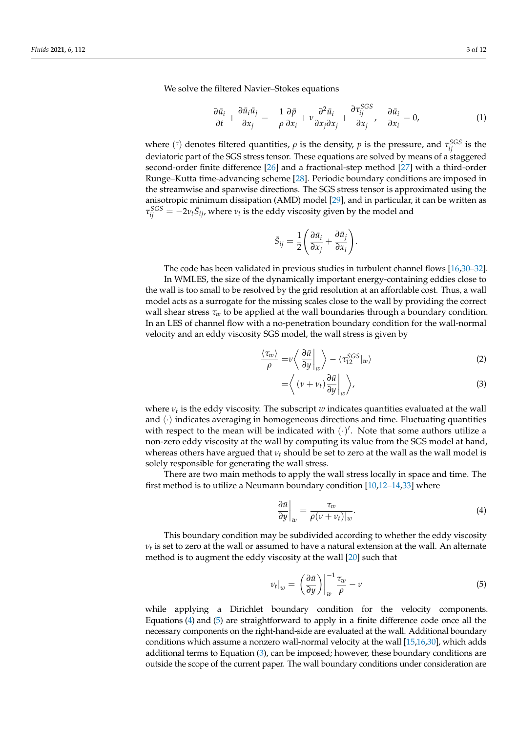We solve the filtered Navier–Stokes equations

$$
\frac{\partial \bar{u}_i}{\partial t} + \frac{\partial \bar{u}_i \bar{u}_j}{\partial x_j} = -\frac{1}{\rho} \frac{\partial \bar{p}}{\partial x_i} + \nu \frac{\partial^2 \bar{u}_i}{\partial x_j \partial x_j} + \frac{\partial \tau_{ij}^{SCS}}{\partial x_j}, \quad \frac{\partial \bar{u}_i}{\partial x_i} = 0,
$$
(1)

where  $(\bar{\cdot})$  denotes filtered quantities,  $\rho$  is the density,  $p$  is the pressure, and  $\tau_{ij}^{SGS}$  is the deviatoric part of the SGS stress tensor. These equations are solved by means of a staggered second-order finite difference [\[26\]](#page-11-2) and a fractional-step method [\[27\]](#page-11-3) with a third-order Runge–Kutta time-advancing scheme [\[28\]](#page-11-4). Periodic boundary conditions are imposed in the streamwise and spanwise directions. The SGS stress tensor is approximated using the anisotropic minimum dissipation (AMD) model [\[29\]](#page-11-5), and in particular, it can be written as  $\tau_{ij}^{SGS} = -2\nu_t \bar{S}_{ij}$ , where  $\nu_t$  is the eddy viscosity given by the model and

$$
\bar{S}_{ij} = \frac{1}{2} \left( \frac{\partial \bar{u}_i}{\partial x_j} + \frac{\partial \bar{u}_j}{\partial x_i} \right).
$$

The code has been validated in previous studies in turbulent channel flows [\[16,](#page-10-11)[30](#page-11-6)[–32\]](#page-11-7).

In WMLES, the size of the dynamically important energy-containing eddies close to the wall is too small to be resolved by the grid resolution at an affordable cost. Thus, a wall model acts as a surrogate for the missing scales close to the wall by providing the correct wall shear stress *τ<sup>w</sup>* to be applied at the wall boundaries through a boundary condition. In an LES of channel flow with a no-penetration boundary condition for the wall-normal velocity and an eddy viscosity SGS model, the wall stress is given by

$$
\frac{\langle \tau_w \rangle}{\rho} = \nu \left\langle \left. \frac{\partial \bar{u}}{\partial y} \right|_w \right\rangle - \left\langle \tau_{12}^{SGS} \right|_w \rangle \tag{2}
$$

<span id="page-2-2"></span>
$$
= \left\langle \left( \nu + \nu_t \right) \frac{\partial \bar{u}}{\partial y} \bigg|_w \right\rangle, \tag{3}
$$

where *ν<sup>t</sup>* is the eddy viscosity. The subscript *w* indicates quantities evaluated at the wall and  $\langle \cdot \rangle$  indicates averaging in homogeneous directions and time. Fluctuating quantities with respect to the mean will be indicated with  $(\cdot)'$ . Note that some authors utilize a non-zero eddy viscosity at the wall by computing its value from the SGS model at hand, whereas others have argued that  $v_t$  should be set to zero at the wall as the wall model is solely responsible for generating the wall stress.

There are two main methods to apply the wall stress locally in space and time. The first method is to utilize a Neumann boundary condition [\[10](#page-10-7)[,12](#page-10-12)[–14,](#page-10-9)[33\]](#page-11-8) where

<span id="page-2-0"></span>
$$
\left. \frac{\partial \bar{u}}{\partial y} \right|_w = \frac{\tau_w}{\rho(\nu + \nu_t)|_w}.\tag{4}
$$

This boundary condition may be subdivided according to whether the eddy viscosity  $\nu_t$  is set to zero at the wall or assumed to have a natural extension at the wall. An alternate method is to augment the eddy viscosity at the wall [\[20\]](#page-10-16) such that

<span id="page-2-1"></span>
$$
\nu_t|_w = \left(\frac{\partial \bar{u}}{\partial y}\right)\Big|_w^{\text{--}1} \frac{\tau_w}{\rho} - \nu \tag{5}
$$

while applying a Dirichlet boundary condition for the velocity components. Equations [\(4\)](#page-2-0) and [\(5\)](#page-2-1) are straightforward to apply in a finite difference code once all the necessary components on the right-hand-side are evaluated at the wall. Additional boundary conditions which assume a nonzero wall-normal velocity at the wall [\[15](#page-10-10)[,16](#page-10-11)[,30\]](#page-11-6), which adds additional terms to Equation [\(3\)](#page-2-2), can be imposed; however, these boundary conditions are outside the scope of the current paper. The wall boundary conditions under consideration are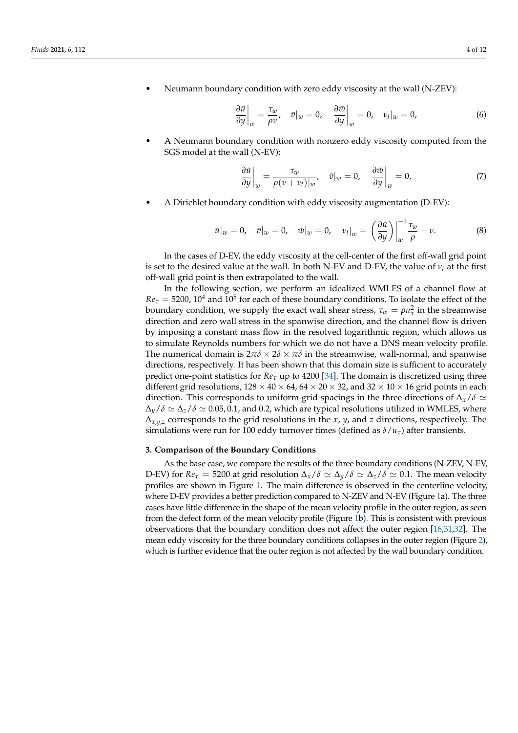• Neumann boundary condition with zero eddy viscosity at the wall (N-ZEV):

$$
\left. \frac{\partial \bar{u}}{\partial y} \right|_w = \frac{\tau_w}{\rho v}, \quad \bar{v}|_w = 0, \quad \left. \frac{\partial \bar{w}}{\partial y} \right|_w = 0, \quad v_t|_w = 0,
$$
\n(6)

• A Neumann boundary condition with nonzero eddy viscosity computed from the SGS model at the wall (N-EV):

$$
\left. \frac{\partial \bar{u}}{\partial y} \right|_w = \frac{\tau_w}{\rho(\nu + \nu_t)|_w}, \quad \bar{v}|_w = 0, \quad \left. \frac{\partial \bar{w}}{\partial y} \right|_w = 0, \tag{7}
$$

• A Dirichlet boundary condition with eddy viscosity augmentation (D-EV):

$$
\bar{u}|_w = 0, \quad \bar{v}|_w = 0, \quad \bar{w}|_w = 0, \quad \nu_t|_w = \left(\frac{\partial \bar{u}}{\partial y}\right)\Big|_w^{\frac{-1}{\tau}} \frac{\tau_w}{\rho} - \nu. \tag{8}
$$

In the cases of D-EV, the eddy viscosity at the cell-center of the first off-wall grid point is set to the desired value at the wall. In both N-EV and D-EV, the value of  $v_t$  at the first off-wall grid point is then extrapolated to the wall.

In the following section, we perform an idealized WMLES of a channel flow at  $Re<sub>\tau</sub> = 5200$ ,  $10<sup>4</sup>$  and  $10<sup>5</sup>$  for each of these boundary conditions. To isolate the effect of the boundary condition, we supply the exact wall shear stress,  $\tau_w = \rho u_\tau^2$  in the streamwise direction and zero wall stress in the spanwise direction, and the channel flow is driven by imposing a constant mass flow in the resolved logarithmic region, which allows us to simulate Reynolds numbers for which we do not have a DNS mean velocity profile. The numerical domain is  $2\pi\delta \times 2\delta \times \pi\delta$  in the streamwise, wall-normal, and spanwise directions, respectively. It has been shown that this domain size is sufficient to accurately predict one-point statistics for  $Re_\tau$  up to 4200 [\[34\]](#page-11-9). The domain is discretized using three different grid resolutions,  $128 \times 40 \times 64$ ,  $64 \times 20 \times 32$ , and  $32 \times 10 \times 16$  grid points in each direction. This corresponds to uniform grid spacings in the three directions of  $\Delta_{x}/\delta \simeq$  $\Delta_y/\delta \simeq \Delta_z/\delta \simeq 0.05$ , 0.1, and 0.2, which are typical resolutions utilized in WMLES, where ∆*x*,*y*,*<sup>z</sup>* corresponds to the grid resolutions in the *x*, *y*, and *z* directions, respectively. The simulations were run for 100 eddy turnover times (defined as  $\delta/u_{\tau}$ ) after transients.

#### <span id="page-3-0"></span>**3. Comparison of the Boundary Conditions**

As the base case, we compare the results of the three boundary conditions (N-ZEV, N-EV, D-EV) for  $Re_\tau = 5200$  at grid resolution  $\Delta_x/\delta \simeq \Delta_y/\delta \simeq \Delta_z/\delta \simeq 0.1$ . The mean velocity profiles are shown in Figure [1.](#page-4-0) The main difference is observed in the centerline velocity, where D-EV provides a better prediction compared to N-ZEV and N-EV (Figure [1a](#page-4-0)). The three cases have little difference in the shape of the mean velocity profile in the outer region, as seen from the defect form of the mean velocity profile (Figure [1b](#page-4-0)). This is consistent with previous observations that the boundary condition does not affect the outer region [\[16](#page-10-11)[,31](#page-11-10)[,32\]](#page-11-7). The mean eddy viscosity for the three boundary conditions collapses in the outer region (Figure [2\)](#page-4-1), which is further evidence that the outer region is not affected by the wall boundary condition.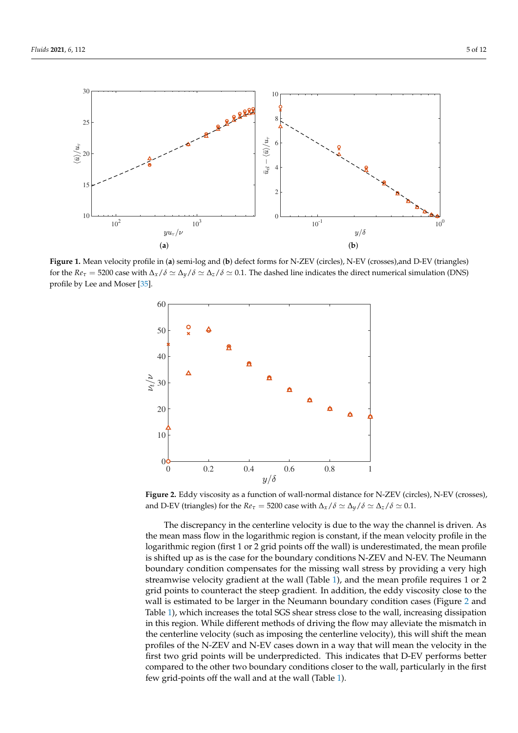<span id="page-4-0"></span>

**Figure 1.** Mean velocity profile in (**a**) semi-log and (**b**) defect forms for N-ZEV (circles), N-EV (crosses),and D-EV (triangles) for the  $Re_\tau = 5200$  case with  $\Delta_\chi/\delta \simeq \Delta_\chi/\delta \simeq 0.1$ . The dashed line indicates the direct numerical simulation (DNS) profile by Lee and Moser [\[35\]](#page-11-11).

<span id="page-4-1"></span>

**Figure 2.** Eddy viscosity as a function of wall-normal distance for N-ZEV (circles), N-EV (crosses), and D-EV (triangles) for the  $Re_\tau = 5200$  case with  $\Delta_x/\delta \simeq \Delta_y/\delta \simeq \Delta_z/\delta \simeq 0.1$ .

The discrepancy in the centerline velocity is due to the way the channel is driven. As the mean mass flow in the logarithmic region is constant, if the mean velocity profile in the logarithmic region (first 1 or 2 grid points off the wall) is underestimated, the mean profile is shifted up as is the case for the boundary conditions N-ZEV and N-EV. The Neumann boundary condition compensates for the missing wall stress by providing a very high streamwise velocity gradient at the wall (Table [1\)](#page-5-0), and the mean profile requires 1 or 2 grid points to counteract the steep gradient. In addition, the eddy viscosity close to the wall is estimated to be larger in the Neumann boundary condition cases (Figure [2](#page-4-1) and Table [1\)](#page-5-0), which increases the total SGS shear stress close to the wall, increasing dissipation in this region. While different methods of driving the flow may alleviate the mismatch in the centerline velocity (such as imposing the centerline velocity), this will shift the mean profiles of the N-ZEV and N-EV cases down in a way that will mean the velocity in the first two grid points will be underpredicted. This indicates that D-EV performs better compared to the other two boundary conditions closer to the wall, particularly in the first few grid-points off the wall and at the wall (Table [1\)](#page-5-0).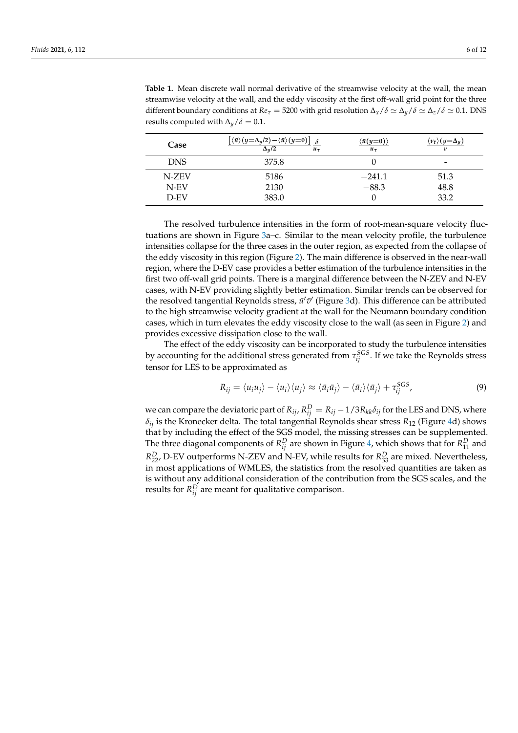| Case       | $\langle \bar{u} \rangle (y=\Delta_y/2) - \langle \bar{u} \rangle (y=0)$<br>$\Delta_u/2$<br>$u_{\tau}$ | $\langle \bar{u}(y=0) \rangle$<br>$u_{\tau}$ | $\langle v_t \rangle (y = \Delta_u)$<br>$\boldsymbol{\nu}$ |
|------------|--------------------------------------------------------------------------------------------------------|----------------------------------------------|------------------------------------------------------------|
| <b>DNS</b> | 375.8                                                                                                  |                                              | -                                                          |
| N-ZEV      | 5186                                                                                                   | $-241.1$                                     | 51.3                                                       |
| N-EV       | 2130                                                                                                   | $-88.3$                                      | 48.8                                                       |
| $D$ -EV    | 383.0                                                                                                  |                                              | 33.2                                                       |

<span id="page-5-0"></span>**Table 1.** Mean discrete wall normal derivative of the streamwise velocity at the wall, the mean streamwise velocity at the wall, and the eddy viscosity at the first off-wall grid point for the three different boundary conditions at  $Re_\tau = 5200$  with grid resolution  $\Delta_x/\delta \simeq \Delta_y/\delta \simeq \Delta_z/\delta \simeq 0.1$ . DNS results computed with  $\Delta_y/\delta = 0.1$ .

The resolved turbulence intensities in the form of root-mean-square velocity fluctuations are shown in Figure [3a](#page-6-0)–c. Similar to the mean velocity profile, the turbulence intensities collapse for the three cases in the outer region, as expected from the collapse of the eddy viscosity in this region (Figure [2\)](#page-4-1). The main difference is observed in the near-wall region, where the D-EV case provides a better estimation of the turbulence intensities in the first two off-wall grid points. There is a marginal difference between the N-ZEV and N-EV cases, with N-EV providing slightly better estimation. Similar trends can be observed for the resolved tangential Reynolds stress,  $\bar{u}'\bar{v}'$  (Figure [3d](#page-6-0)). This difference can be attributed to the high streamwise velocity gradient at the wall for the Neumann boundary condition cases, which in turn elevates the eddy viscosity close to the wall (as seen in Figure [2\)](#page-4-1) and provides excessive dissipation close to the wall.

The effect of the eddy viscosity can be incorporated to study the turbulence intensities by accounting for the additional stress generated from  $\tau_{ij}^{SGS}$ . If we take the Reynolds stress tensor for LES to be approximated as

$$
R_{ij} = \langle u_i u_j \rangle - \langle u_i \rangle \langle u_j \rangle \approx \langle \bar{u}_i \bar{u}_j \rangle - \langle \bar{u}_i \rangle \langle \bar{u}_j \rangle + \tau_{ij}^{SGS}, \tag{9}
$$

we can compare the deviatoric part of  $R_{ij}$ ,  $R_{ij}^D = R_{ij} - 1/3R_{kk}\delta_{ij}$  for the LES and DNS, where  $\delta_{ij}$  is the Kronecker delta. The total tangential Reynolds shear stress  $R_{12}$  (Figure [4d](#page-7-0)) shows that by including the effect of the SGS model, the missing stresses can be supplemented. The three diagonal components of  $R_{ij}^D$  are shown in Figure [4,](#page-7-0) which shows that for  $R_{11}^D$  and  $R_{22}^D$ , D-EV outperforms N-ZEV and N-EV, while results for  $R_{33}^D$  are mixed. Nevertheless, in most applications of WMLES, the statistics from the resolved quantities are taken as is without any additional consideration of the contribution from the SGS scales, and the results for  $R_{ij}^D$  are meant for qualitative comparison.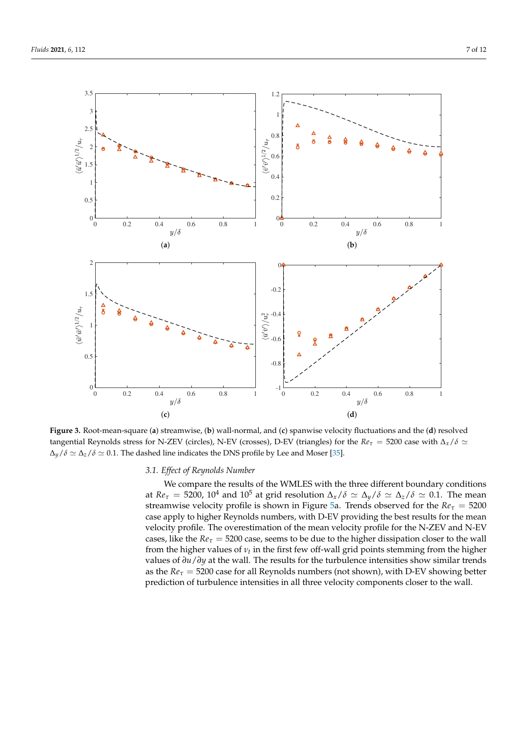$0\frac{L}{0}$ 

(**a**)

1 F

0.5

1.5

 $\overline{u}'\overline{u}'\rangle^{1/2}/u_\tau$ 

2

2.5

3

<span id="page-6-0"></span>3.5





**Figure 3.** Root-mean-square (**a**) streamwise, (**b**) wall-normal, and (**c**) spanwise velocity fluctuations and the (**d**) resolved tangential Reynolds stress for N-ZEV (circles), N-EV (crosses), D-EV (triangles) for the  $Re_\tau = 5200$  case with  $\Delta_x/\delta \simeq$  $\Delta_y/\delta \simeq \Delta_z/\delta \simeq 0.1$ . The dashed line indicates the DNS profile by Lee and Moser [\[35\]](#page-11-11).

# *3.1. Effect of Reynolds Number*

We compare the results of the WMLES with the three different boundary conditions at  $Re_\tau = 5200$ , 10<sup>4</sup> and 10<sup>5</sup> at grid resolution  $\Delta_x/\delta \simeq \Delta_y/\delta \simeq \Delta_z/\delta \simeq 0.1$ . The mean streamwise velocity profile is shown in Figure [5a](#page-7-1). Trends observed for the  $Re<sub>\tau</sub> = 5200$ case apply to higher Reynolds numbers, with D-EV providing the best results for the mean velocity profile. The overestimation of the mean velocity profile for the N-ZEV and N-EV cases, like the  $Re_\tau = 5200$  case, seems to be due to the higher dissipation closer to the wall from the higher values of  $v_t$  in the first few off-wall grid points stemming from the higher values of *∂u*/*∂y* at the wall. The results for the turbulence intensities show similar trends as the  $Re_\tau$  = 5200 case for all Reynolds numbers (not shown), with D-EV showing better prediction of turbulence intensities in all three velocity components closer to the wall.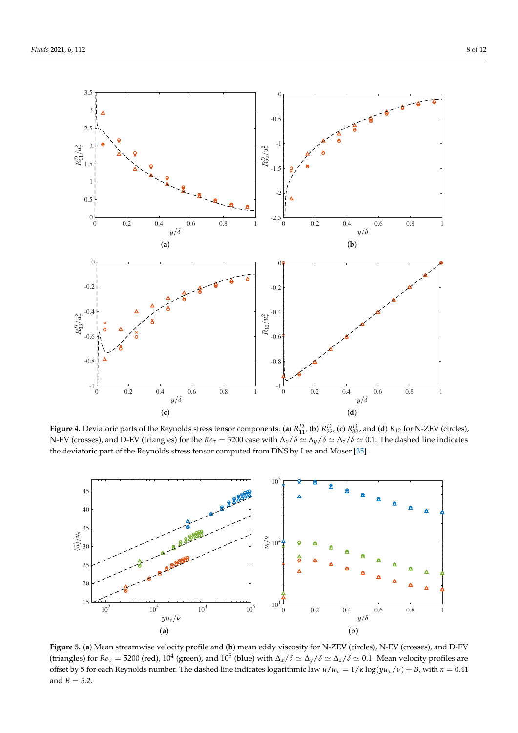<span id="page-7-0"></span>

**Figure 4.** Deviatoric parts of the Reynolds stress tensor components: (a)  $R_{11}^D$ , (b)  $R_{22}^D$ , (c)  $R_{33}^D$ , and (d)  $R_{12}$  for N-ZEV (circles), N-EV (crosses), and D-EV (triangles) for the  $Re_\tau = 5200$  case with  $\Delta_x/\delta \simeq \Delta_y/\delta \simeq \Delta_z/\delta \simeq 0.1$ . The dashed line indicates the deviatoric part of the Reynolds stress tensor computed from DNS by Lee and Moser [\[35\]](#page-11-11).

<span id="page-7-1"></span>

**Figure 5.** (**a**) Mean streamwise velocity profile and (**b**) mean eddy viscosity for N-ZEV (circles), N-EV (crosses), and D-EV (triangles) for  $Re_\tau = 5200$  (red),  $10^4$  (green), and  $10^5$  (blue) with  $\Delta_x/\delta \simeq \Delta_y/\delta \simeq \Delta_z/\delta \simeq 0.1$ . Mean velocity profiles are offset by 5 for each Reynolds number. The dashed line indicates logarithmic law *u*/*u<sup>τ</sup>* = 1/*κ* log(*yuτ*/*ν*) + *B*, with *κ* = 0.41 and  $B = 5.2$ .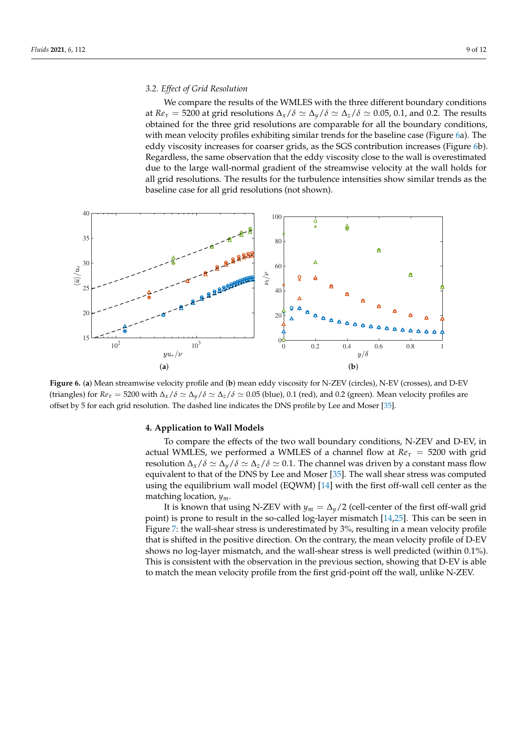We compare the results of the WMLES with the three different boundary conditions at  $Re_\tau$  = 5200 at grid resolutions  $\Delta_\chi/\delta \simeq \Delta_\chi/\delta \simeq \Delta_z/\delta \simeq 0.05$ , 0.1, and 0.2. The results obtained for the three grid resolutions are comparable for all the boundary conditions, with mean velocity profiles exhibiting similar trends for the baseline case (Figure [6a](#page-8-1)). The eddy viscosity increases for coarser grids, as the SGS contribution increases (Figure [6b](#page-8-1)). Regardless, the same observation that the eddy viscosity close to the wall is overestimated due to the large wall-normal gradient of the streamwise velocity at the wall holds for all grid resolutions. The results for the turbulence intensities show similar trends as the baseline case for all grid resolutions (not shown).

<span id="page-8-1"></span>

**Figure 6.** (**a**) Mean streamwise velocity profile and (**b**) mean eddy viscosity for N-ZEV (circles), N-EV (crosses), and D-EV (triangles) for  $Re_\tau = 5200$  with  $\Delta_x/\delta \simeq \Delta_y/\delta \simeq \Delta_z/\delta \simeq 0.05$  (blue), 0.1 (red), and 0.2 (green). Mean velocity profiles are offset by 5 for each grid resolution. The dashed line indicates the DNS profile by Lee and Moser [\[35\]](#page-11-11).

## <span id="page-8-0"></span>**4. Application to Wall Models**

To compare the effects of the two wall boundary conditions, N-ZEV and D-EV, in actual WMLES, we performed a WMLES of a channel flow at  $Re<sub>\tau</sub> = 5200$  with grid resolution  $\Delta_{\gamma}/\delta \simeq \Delta_{\gamma}/\delta \simeq 0.1$ . The channel was driven by a constant mass flow equivalent to that of the DNS by Lee and Moser [\[35\]](#page-11-11). The wall shear stress was computed using the equilibrium wall model (EQWM) [\[14\]](#page-10-9) with the first off-wall cell center as the matching location, *ym*.

It is known that using N-ZEV with  $y_m = \Delta_y/2$  (cell-center of the first off-wall grid point) is prone to result in the so-called log-layer mismatch [\[14](#page-10-9)[,25\]](#page-11-1). This can be seen in Figure [7:](#page-9-1) the wall-shear stress is underestimated by 3%, resulting in a mean velocity profile that is shifted in the positive direction. On the contrary, the mean velocity profile of D-EV shows no log-layer mismatch, and the wall-shear stress is well predicted (within 0.1%). This is consistent with the observation in the previous section, showing that D-EV is able to match the mean velocity profile from the first grid-point off the wall, unlike N-ZEV.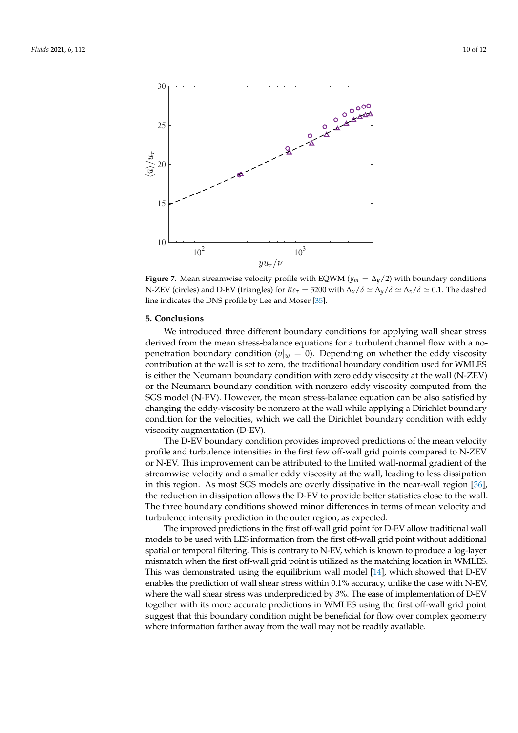<span id="page-9-1"></span>

**Figure 7.** Mean streamwise velocity profile with EQWM ( $y_m = \Delta_y/2$ ) with boundary conditions N-ZEV (circles) and D-EV (triangles) for  $Re_\tau = 5200$  with  $\Delta_x/\delta \simeq \Delta_y/\delta \simeq \Delta_z/\delta \simeq 0.1$ . The dashed line indicates the DNS profile by Lee and Moser [\[35\]](#page-11-11).

## <span id="page-9-0"></span>**5. Conclusions**

We introduced three different boundary conditions for applying wall shear stress derived from the mean stress-balance equations for a turbulent channel flow with a nopenetration boundary condition ( $v|_w = 0$ ). Depending on whether the eddy viscosity contribution at the wall is set to zero, the traditional boundary condition used for WMLES is either the Neumann boundary condition with zero eddy viscosity at the wall (N-ZEV) or the Neumann boundary condition with nonzero eddy viscosity computed from the SGS model (N-EV). However, the mean stress-balance equation can be also satisfied by changing the eddy-viscosity be nonzero at the wall while applying a Dirichlet boundary condition for the velocities, which we call the Dirichlet boundary condition with eddy viscosity augmentation (D-EV).

The D-EV boundary condition provides improved predictions of the mean velocity profile and turbulence intensities in the first few off-wall grid points compared to N-ZEV or N-EV. This improvement can be attributed to the limited wall-normal gradient of the streamwise velocity and a smaller eddy viscosity at the wall, leading to less dissipation in this region. As most SGS models are overly dissipative in the near-wall region [\[36\]](#page-11-12), the reduction in dissipation allows the D-EV to provide better statistics close to the wall. The three boundary conditions showed minor differences in terms of mean velocity and turbulence intensity prediction in the outer region, as expected.

The improved predictions in the first off-wall grid point for D-EV allow traditional wall models to be used with LES information from the first off-wall grid point without additional spatial or temporal filtering. This is contrary to N-EV, which is known to produce a log-layer mismatch when the first off-wall grid point is utilized as the matching location in WMLES. This was demonstrated using the equilibrium wall model [\[14\]](#page-10-9), which showed that D-EV enables the prediction of wall shear stress within 0.1% accuracy, unlike the case with N-EV, where the wall shear stress was underpredicted by 3%. The ease of implementation of D-EV together with its more accurate predictions in WMLES using the first off-wall grid point suggest that this boundary condition might be beneficial for flow over complex geometry where information farther away from the wall may not be readily available.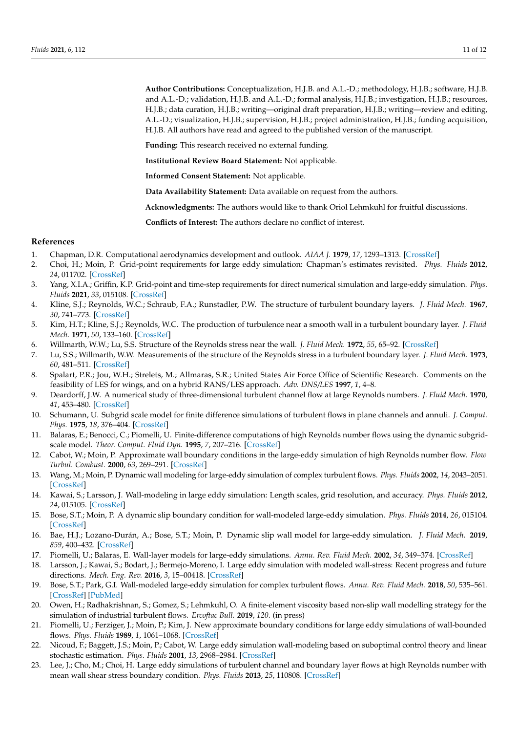**Author Contributions:** Conceptualization, H.J.B. and A.L.-D.; methodology, H.J.B.; software, H.J.B. and A.L.-D.; validation, H.J.B. and A.L.-D.; formal analysis, H.J.B.; investigation, H.J.B.; resources, H.J.B.; data curation, H.J.B.; writing—original draft preparation, H.J.B.; writing—review and editing, A.L.-D.; visualization, H.J.B.; supervision, H.J.B.; project administration, H.J.B.; funding acquisition, H.J.B. All authors have read and agreed to the published version of the manuscript.

**Funding:** This research received no external funding.

**Institutional Review Board Statement:** Not applicable.

**Informed Consent Statement:** Not applicable.

**Data Availability Statement:** Data available on request from the authors.

**Acknowledgments:** The authors would like to thank Oriol Lehmkuhl for fruitful discussions.

**Conflicts of Interest:** The authors declare no conflict of interest.

### **References**

- <span id="page-10-0"></span>1. Chapman, D.R. Computational aerodynamics development and outlook. *AIAA J.* **1979**, *17*, 1293–1313. [\[CrossRef\]](http://doi.org/10.2514/3.61311)
- <span id="page-10-1"></span>2. Choi, H.; Moin, P. Grid-point requirements for large eddy simulation: Chapman's estimates revisited. *Phys. Fluids* **2012**, *24*, 011702. [\[CrossRef\]](http://dx.doi.org/10.1063/1.3676783)
- <span id="page-10-2"></span>3. Yang, X.I.A.; Griffin, K.P. Grid-point and time-step requirements for direct numerical simulation and large-eddy simulation. *Phys. Fluids* **2021**, *33*, 015108. [\[CrossRef\]](http://dx.doi.org/10.1063/5.0036515)
- <span id="page-10-3"></span>4. Kline, S.J.; Reynolds, W.C.; Schraub, F.A.; Runstadler, P.W. The structure of turbulent boundary layers. *J. Fluid Mech.* **1967**, *30*, 741–773. [\[CrossRef\]](http://dx.doi.org/10.1017/S0022112067001740)
- 5. Kim, H.T.; Kline, S.J.; Reynolds, W.C. The production of turbulence near a smooth wall in a turbulent boundary layer. *J. Fluid Mech.* **1971**, *50*, 133–160. [\[CrossRef\]](http://dx.doi.org/10.1017/S0022112071002490)
- 6. Willmarth, W.W.; Lu, S.S. Structure of the Reynolds stress near the wall. *J. Fluid Mech.* **1972**, *55*, 65–92. [\[CrossRef\]](http://dx.doi.org/10.1017/S002211207200165X)
- <span id="page-10-4"></span>7. Lu, S.S.; Willmarth, W.W. Measurements of the structure of the Reynolds stress in a turbulent boundary layer. *J. Fluid Mech.* **1973**, *60*, 481–511. [\[CrossRef\]](http://dx.doi.org/10.1017/S0022112073000315)
- <span id="page-10-5"></span>8. Spalart, P.R.; Jou, W.H.; Strelets, M.; Allmaras, S.R.; United States Air Force Office of Scientific Research. Comments on the feasibility of LES for wings, and on a hybrid RANS/LES approach. *Adv. DNS/LES* **1997**, *1*, 4–8.
- <span id="page-10-6"></span>9. Deardorff, J.W. A numerical study of three-dimensional turbulent channel flow at large Reynolds numbers. *J. Fluid Mech.* **1970**, *41*, 453–480. [\[CrossRef\]](http://dx.doi.org/10.1017/S0022112070000691)
- <span id="page-10-7"></span>10. Schumann, U. Subgrid scale model for finite difference simulations of turbulent flows in plane channels and annuli. *J. Comput. Phys.* **1975**, *18*, 376–404. [\[CrossRef\]](http://dx.doi.org/10.1016/0021-9991(75)90093-5)
- <span id="page-10-8"></span>11. Balaras, E.; Benocci, C.; Piomelli, U. Finite-difference computations of high Reynolds number flows using the dynamic subgridscale model. *Theor. Comput. Fluid Dyn.* **1995**, *7*, 207–216. [\[CrossRef\]](http://dx.doi.org/10.1007/BF00312363)
- <span id="page-10-12"></span>12. Cabot, W.; Moin, P. Approximate wall boundary conditions in the large-eddy simulation of high Reynolds number flow. *Flow Turbul. Combust.* **2000**, *63*, 269–291. [\[CrossRef\]](http://dx.doi.org/10.1023/A:1009958917113)
- 13. Wang, M.; Moin, P. Dynamic wall modeling for large-eddy simulation of complex turbulent flows. *Phys. Fluids* **2002**, *14*, 2043–2051. [\[CrossRef\]](http://dx.doi.org/10.1063/1.1476668)
- <span id="page-10-9"></span>14. Kawai, S.; Larsson, J. Wall-modeling in large eddy simulation: Length scales, grid resolution, and accuracy. *Phys. Fluids* **2012**, *24*, 015105. [\[CrossRef\]](http://dx.doi.org/10.1063/1.3678331)
- <span id="page-10-10"></span>15. Bose, S.T.; Moin, P. A dynamic slip boundary condition for wall-modeled large-eddy simulation. *Phys. Fluids* **2014**, *26*, 015104. [\[CrossRef\]](http://dx.doi.org/10.1063/1.4849535)
- <span id="page-10-11"></span>16. Bae, H.J.; Lozano-Durán, A.; Bose, S.T.; Moin, P. Dynamic slip wall model for large-eddy simulation. *J. Fluid Mech.* **2019**, *859*, 400–432. [\[CrossRef\]](http://dx.doi.org/10.1017/jfm.2018.838)
- <span id="page-10-13"></span>17. Piomelli, U.; Balaras, E. Wall-layer models for large-eddy simulations. *Annu. Rev. Fluid Mech.* **2002**, *34*, 349–374. [\[CrossRef\]](http://dx.doi.org/10.1146/annurev.fluid.34.082901.144919)
- <span id="page-10-14"></span>18. Larsson, J.; Kawai, S.; Bodart, J.; Bermejo-Moreno, I. Large eddy simulation with modeled wall-stress: Recent progress and future directions. *Mech. Eng. Rev.* **2016**, *3*, 15–00418. [\[CrossRef\]](http://dx.doi.org/10.1299/mer.15-00418)
- <span id="page-10-15"></span>19. Bose, S.T.; Park, G.I. Wall-modeled large-eddy simulation for complex turbulent flows. *Annu. Rev. Fluid Mech.* **2018**, *50*, 535–561. [\[CrossRef\]](http://dx.doi.org/10.1146/annurev-fluid-122316-045241) [\[PubMed\]](http://www.ncbi.nlm.nih.gov/pubmed/31631915)
- <span id="page-10-16"></span>20. Owen, H.; Radhakrishnan, S.; Gomez, S.; Lehmkuhl, O. A finite-element viscosity based non-slip wall modelling strategy for the simulation of industrial turbulent flows. *Ercoftac Bull.* **2019**, *120*. (in press)
- <span id="page-10-17"></span>21. Piomelli, U.; Ferziger, J.; Moin, P.; Kim, J. New approximate boundary conditions for large eddy simulations of wall-bounded flows. *Phys. Fluids* **1989**, *1*, 1061–1068. [\[CrossRef\]](http://dx.doi.org/10.1063/1.857397)
- <span id="page-10-18"></span>22. Nicoud, F.; Baggett, J.S.; Moin, P.; Cabot, W. Large eddy simulation wall-modeling based on suboptimal control theory and linear stochastic estimation. *Phys. Fluids* **2001**, *13*, 2968–2984. [\[CrossRef\]](http://dx.doi.org/10.1063/1.1389286)
- <span id="page-10-19"></span>23. Lee, J.; Cho, M.; Choi, H. Large eddy simulations of turbulent channel and boundary layer flows at high Reynolds number with mean wall shear stress boundary condition. *Phys. Fluids* **2013**, *25*, 110808. [\[CrossRef\]](http://dx.doi.org/10.1063/1.4819342)